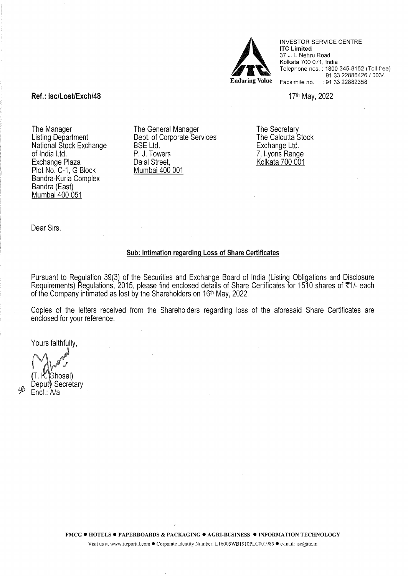

INVESTOR SERVICE CENTRE lTC Limited 37 J. L.Nehru Road Kolkata 700 071, India Telephone nos.: 1800-345-8152 (Toll free) 91 33 22886426 / 0034 Facsimile no. : 91 33 22882358

17th May, 2022

# Ref.: lsc/Lost/Exch/48

The Manager Listing Department National Stock Exchange of India Ltd. Exchange Plaza Plot No. C-1, G Block Bandra-Kurla Complex Bandra (East) Mumbai 400 051

The General Manager Dept. of Corporate Services BSE Ltd. P. J. Towers Dalal Street, Mumbai 400 001

The Secretary The Calcutta Stock Exchange Ltd. 7, Lyons Range Kolkata 700 001

Dear Sirs,

## Sub: Intimation regarding Loss of Share Certificates

Pursuant to Regulation 39(3) of the Securities and Exchange Board of India (Listing Obligations and Disclosure Requirements) Regulations, 2015, please find enclosed details of Share Certificates for 1510 shares of ₹1/- each of the Company intimated as lost by the Shareholders on 16th May, 2022.

Copies of the letters received from the Shareholders regarding loss of the aforesaid Share Certificates are enclosed for your reference.

Yours faithfully,

 $\sim$   $\sim$   $\sim$ 

( Ghosal Deputy Secretary Encl.: A/a

'sß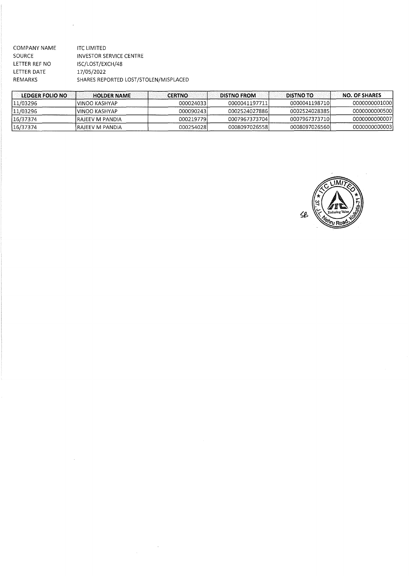| COMPANY NAME  | <b>ITC LIMITED</b>                    |
|---------------|---------------------------------------|
| <b>SOURCE</b> | <b>INVESTOR SERVICE CENTRE</b>        |
| LETTER REF NO | ISC/LOST/EXCH/48                      |
| LETTER DATE   | 17/05/2022                            |
| REMARKS       | SHARES REPORTED LOST/STOLEN/MISPLACED |
|               |                                       |

J.

| LEDGER FOLIO NO | <b>HOLDER NAME</b> | <b>CERTNO</b> | <b>DISTNO FROM</b> | <b>DISTNO TO</b> | <b>NO. OF SHARES</b> |
|-----------------|--------------------|---------------|--------------------|------------------|----------------------|
| 11/03296        | lVINOO KASHYAP     | 000024033     | 0000041197711l     | 0000041198710    | 00000000010001       |
| 11/03296        | IVINOO KASHYAP     | 0000902431    | 00025240278861     | 00025240283851   | 00000000005001       |
| 16/37374        | IRAIEEV M PANDIA   | 0002197791    | 00079673737041     | 00079673737101   | 00000000000071       |
| 16/37374        | IRAJEEV M PANDIA   | 0002540281    | 00080970265581     | 00080970265601   | 00000000000031       |

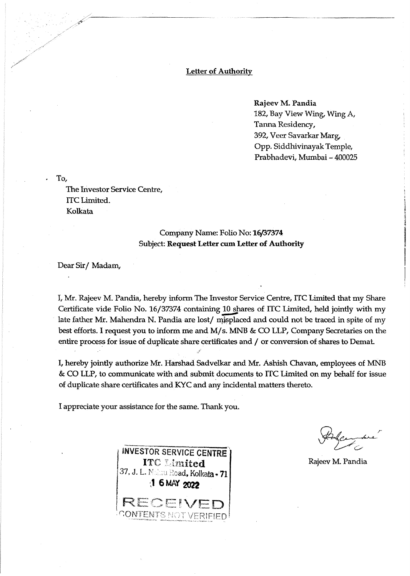### Letter of Authority

Rajeev M. Pandia 182, Bay View Wing, Wing A, Tanna Residency, 392, Veer Savarkar Marg, Opp. Siddhivinayak Temple, Prabhadevi, Mumbai - 400025

. To,

The Investor Service Centre, lTC Limited. Kolkata

# Company Name: Folio No: 16/37374 Subject: Request Letter cum Letter of Authority

Dear Sir/Madam,

I, Mr. Rajeev M. Pandia, hereby inform The Investor Service Centre, ITC Limited that my Share Certificate vide Folio No. 16/37374 containing 10 shares of ITC Limited, held jointly with my late father Mr. Mahendra N. Pandia are lost/ misplaced and could not be traced in spite of my best efforts. I request you to inform me and M/ s. MNB & CO LLP, Company Secretaries on the entire process for issue of duplicate share certificates and / or conversion of shares to Demat.

I, hereby jointly authorize Mr. Harshad Sadvelkar and Mr. Ashish Chavan, employees of MNB & CO LLP, to communicate with and submit documents to ITC Limited on my behalf for issue of duplicate share certificates and KYC and any incidental matters thereto.

I appreciate your assistance for the same. Thank you.



Rajeev M. Pandia